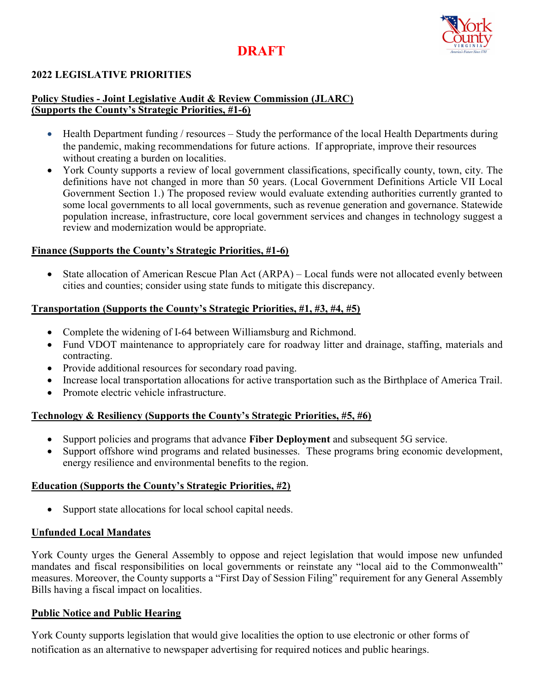# DRAFT



## 2022 LEGISLATIVE PRIORITIES

## Policy Studies - Joint Legislative Audit & Review Commission (JLARC) (Supports the County's Strategic Priorities, #1-6)

- Health Department funding / resources Study the performance of the local Health Departments during the pandemic, making recommendations for future actions. If appropriate, improve their resources without creating a burden on localities.
- York County supports a review of local government classifications, specifically county, town, city. The definitions have not changed in more than 50 years. (Local Government Definitions Article VII Local Government Section 1.) The proposed review would evaluate extending authorities currently granted to some local governments to all local governments, such as revenue generation and governance. Statewide population increase, infrastructure, core local government services and changes in technology suggest a review and modernization would be appropriate.

#### Finance (Supports the County's Strategic Priorities, #1-6)

 State allocation of American Rescue Plan Act (ARPA) – Local funds were not allocated evenly between cities and counties; consider using state funds to mitigate this discrepancy.

#### Transportation (Supports the County's Strategic Priorities, #1, #3, #4, #5)

- Complete the widening of I-64 between Williamsburg and Richmond.
- Fund VDOT maintenance to appropriately care for roadway litter and drainage, staffing, materials and contracting.
- Provide additional resources for secondary road paving.
- Increase local transportation allocations for active transportation such as the Birthplace of America Trail.
- Promote electric vehicle infrastructure.

## Technology & Resiliency (Supports the County's Strategic Priorities, #5, #6)

- Support policies and programs that advance Fiber Deployment and subsequent 5G service.
- Support offshore wind programs and related businesses. These programs bring economic development, energy resilience and environmental benefits to the region.

#### Education (Supports the County's Strategic Priorities, #2)

• Support state allocations for local school capital needs.

#### Unfunded Local Mandates

York County urges the General Assembly to oppose and reject legislation that would impose new unfunded mandates and fiscal responsibilities on local governments or reinstate any "local aid to the Commonwealth" measures. Moreover, the County supports a "First Day of Session Filing" requirement for any General Assembly Bills having a fiscal impact on localities.

## Public Notice and Public Hearing

York County supports legislation that would give localities the option to use electronic or other forms of notification as an alternative to newspaper advertising for required notices and public hearings.